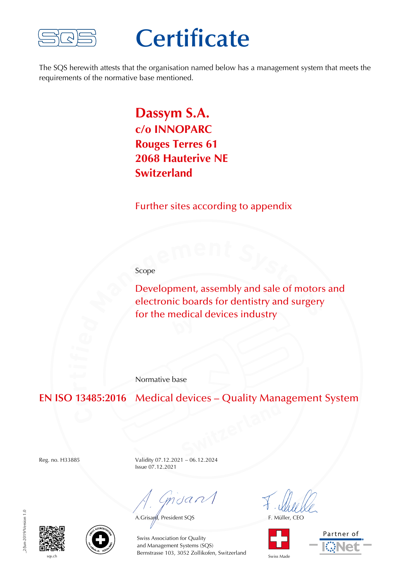

## **Certificate**

The SQS herewith attests that the organisation named below has a management system that meets the requirements of the normative base mentioned.

## **Dassym S.A. c/o INNOPARC Rouges Terres 61 2068 Hauterive NE Switzerland**

Further sites according to appendix

Scope

Development, assembly and sale of motors and electronic boards for dentistry and surgery for the medical devices industry

Normative base

**EN ISO 13485:2016** Medical devices – Quality Management System

Reg. no. H33885 Validity 07.12.2021 – 06.12.2024 Issue 07.12.2021

mdan

A.Grisayd, President SQS F. Müller, CEO





2/Jun-2019/Version 1.0 \_2/Jun-2019/Version 1.0





sqs.ch Switzerland Swiss Made Bernstrasse 103, 3052 Zollikofen, Switzerland Swiss Made Swiss Association for Quality and Management Systems (SQS)